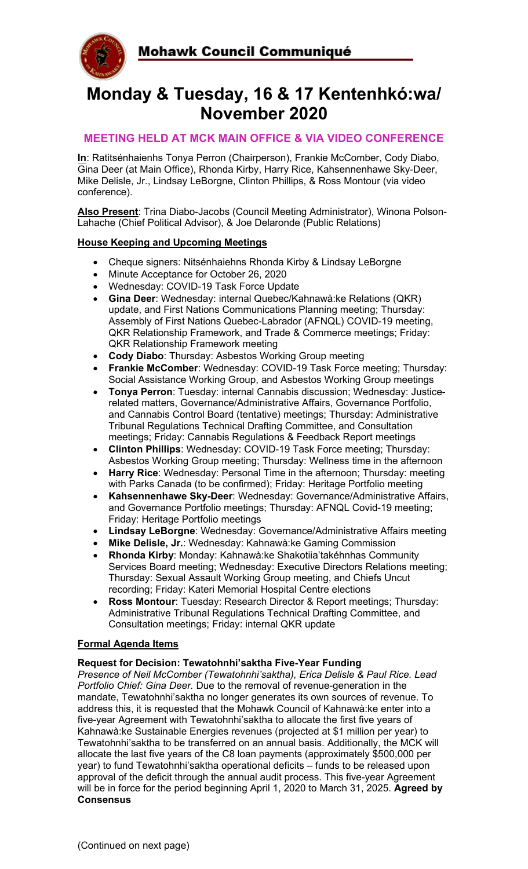

# **Monday & Tuesday, 16 & 17 Kentenhkó:wa/ November 2020**

### **MEETING HELD AT MCK MAIN OFFICE & VIA VIDEO CONFERENCE**

**In**: Ratitsénhaienhs Tonya Perron (Chairperson), Frankie McComber, Cody Diabo, Gina Deer (at Main Office), Rhonda Kirby, Harry Rice, Kahsennenhawe Sky-Deer, Mike Delisle, Jr., Lindsay LeBorgne, Clinton Phillips, & Ross Montour (via video conference).

**Also Present**: Trina Diabo-Jacobs (Council Meeting Administrator), Winona Polson-Lahache (Chief Political Advisor), & Joe Delaronde (Public Relations)

### **House Keeping and Upcoming Meetings**

- Cheque signers: Nitsénhaiehns Rhonda Kirby & Lindsay LeBorgne
- Minute Acceptance for October 26, 2020
- Wednesday: COVID-19 Task Force Update
- **Gina Deer**: Wednesday: internal Quebec/Kahnawà:ke Relations (QKR) update, and First Nations Communications Planning meeting; Thursday: Assembly of First Nations Quebec-Labrador (AFNQL) COVID-19 meeting, QKR Relationship Framework, and Trade & Commerce meetings; Friday: QKR Relationship Framework meeting
- **Cody Diabo**: Thursday: Asbestos Working Group meeting
- **Frankie McComber:** Wednesday: COVID-19 Task Force meeting; Thursday: Social Assistance Working Group, and Asbestos Working Group meetings
- **Tonya Perron**: Tuesday: internal Cannabis discussion; Wednesday: Justicerelated matters, Governance/Administrative Affairs, Governance Portfolio, and Cannabis Control Board (tentative) meetings; Thursday: Administrative Tribunal Regulations Technical Drafting Committee, and Consultation meetings; Friday: Cannabis Regulations & Feedback Report meetings
- **Clinton Phillips**: Wednesday: COVID-19 Task Force meeting; Thursday: Asbestos Working Group meeting; Thursday: Wellness time in the afternoon
- **Harry Rice**: Wednesday: Personal Time in the afternoon; Thursday: meeting with Parks Canada (to be confirmed); Friday: Heritage Portfolio meeting
- **Kahsennenhawe Sky-Deer**: Wednesday: Governance/Administrative Affairs, and Governance Portfolio meetings; Thursday: AFNQL Covid-19 meeting; Friday: Heritage Portfolio meetings
- **Lindsay LeBorgne**: Wednesday: Governance/Administrative Affairs meeting
- **Mike Delisle, Jr.**: Wednesday: Kahnawà:ke Gaming Commission
- **Rhonda Kirby**: Monday: Kahnawà:ke Shakotiia'takéhnhas Community Services Board meeting; Wednesday: Executive Directors Relations meeting; Thursday: Sexual Assault Working Group meeting, and Chiefs Uncut recording; Friday: Kateri Memorial Hospital Centre elections
- **Ross Montour**: Tuesday: Research Director & Report meetings; Thursday: Administrative Tribunal Regulations Technical Drafting Committee, and Consultation meetings; Friday: internal QKR update

### **Formal Agenda Items**

### **Request for Decision: Tewatohnhi'saktha Five-Year Funding**

*Presence of Neil McComber (Tewatohnhi'saktha), Erica Delisle & Paul Rice. Lead Portfolio Chief: Gina Deer.* Due to the removal of revenue-generation in the mandate, Tewatohnhi'saktha no longer generates its own sources of revenue. To address this, it is requested that the Mohawk Council of Kahnawà:ke enter into a five-year Agreement with Tewatohnhi'saktha to allocate the first five years of Kahnawà:ke Sustainable Energies revenues (projected at \$1 million per year) to Tewatohnhi'saktha to be transferred on an annual basis. Additionally, the MCK will allocate the last five years of the C8 loan payments (approximately \$500,000 per year) to fund Tewatohnhi'saktha operational deficits – funds to be released upon approval of the deficit through the annual audit process. This five-year Agreement will be in force for the period beginning April 1, 2020 to March 31, 2025. **Agreed by Consensus**